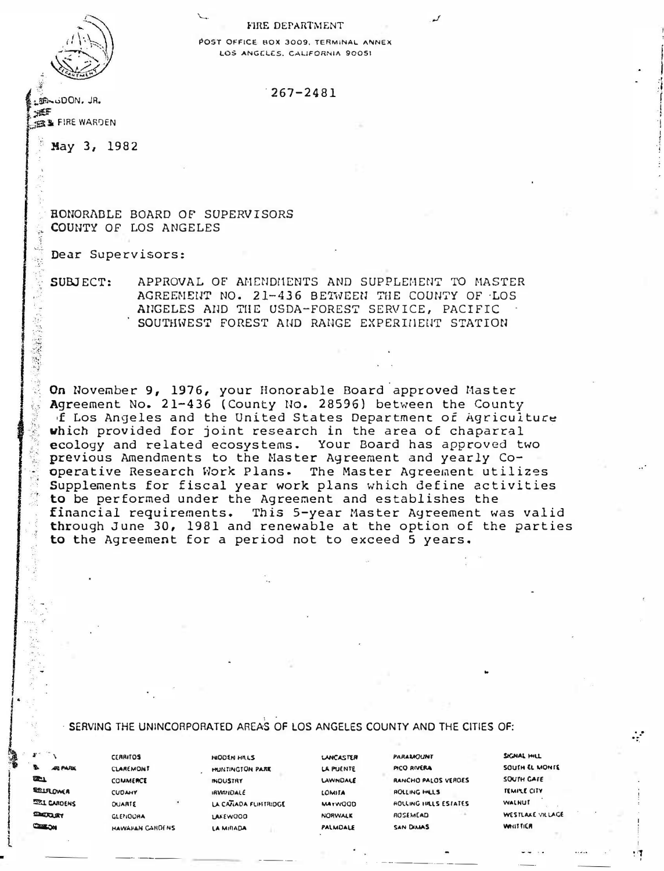## FIRE DEPARTMENT

POST OFFICE BOX 3009, TERMINAL ANNEX LOS ANGELES, CALIFORNIA 90051

## $267 - 2481$

**DON. JR.** HEF **BELLE WARDEN** 

May 3, 1982

RONORABLE BOARD OF SUPERVISORS COUNTY OF LOS ANGELES

Dear Supervisors:

SUBJECT: APPROVAL OF AMENDMENTS AND SUPPLEMENT TO MASTER AGREEMENT NO. 21-436 BETWEEN THE COUNTY OF LOS ANGELES AND THE USDA-FOREST SERVICE, PACIFIC SOUTHWEST FOREST AND RANGE EXPERIMENT STATION

On November 9, 1976, your Honorable Board approved Master Agreement No. 21-436 (County No. 28596) between the County of Los Angeles and the United States Department of Agriculture which provided for joint research in the area of chaparral ecology and related ecosystems. Your Board has approved two previous Amendments to the Master Agreement and yearly Cooperative Research Work Plans. The Master Agreement utilizes Supplements for fiscal year work plans which define activities to be performed under the Agreement and establishes the financial requirements. This 5-year Master Agreement was valid through June 30, 1981 and renewable at the option of the parties to the Agreement for a period not to exceed 5 years.

## SERVING THE UNINCORPORATED AREAS OF LOS ANGELES COUNTY AND THE CITIES OF:

**EDI PLANC**  $22 - 1$ EELROMER **SEI CARDENS DEKLAY** 

CLAREMONT COMMERCE **CUDAHY QUARTE GLENOORA** HAWARAN CAROENS

**CERRITOS** 

HUNTINGTON PARK **INDUSTRY IRVATIOALE** LA CATIADA FUNTRIDGE LAKEWOOD LA MIRADA

HIDDEN HILLS

**LANCASTER** LA PUENTE **LAWNDALE** LOMITA **MAYWOOD NORWALK** PALMOALE

**PICO RIVERA** RANCHO PALOS VERDES **AOLLING HILLS AOLLING HILLS ESTATES** ROSEMEAD SAN DIAIAS

**PARAMOUNT** 

SIGNAL HILL SOUTH EL MONTE **SOUTH CAFE TEMPLE CITY WALNUT** WESTLAKE VILLAGE **WHITTICA** 

: 1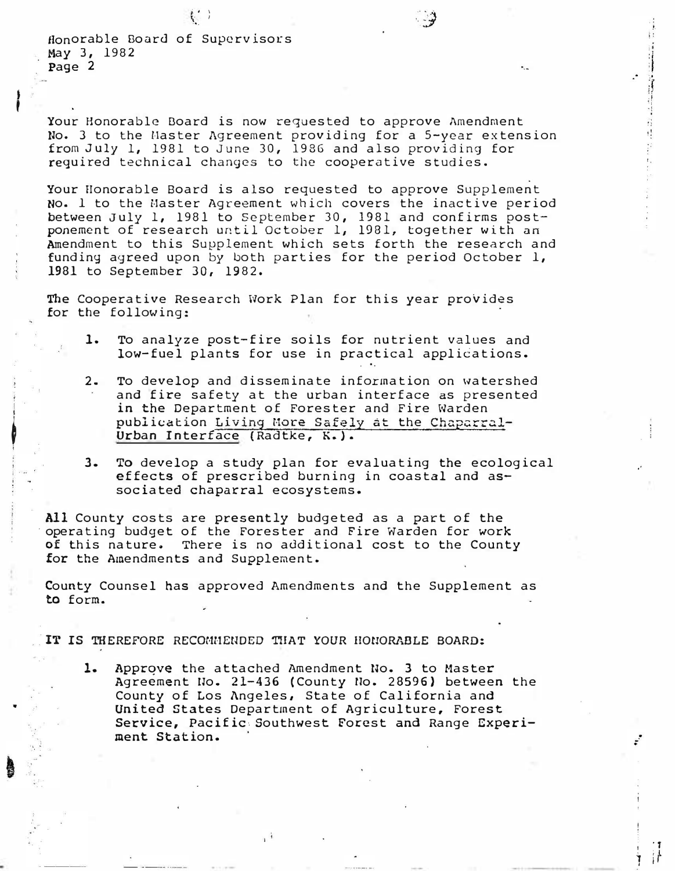Honorable Board of Supervisors May 3, 1982 Page 2

I

j

'

•

Your Honorable Board is now requested to approve Amendment No. 3 to the Master Agreement providing for a 5-year extension from July 1, 1981 to June 30, 1986 and also providing for required technical changes to the cooperative studies.

·' J  $\mathcal{Y}$ 

'·-

.,  $\mathbf{L}$ 

'·

.<br>.<br>.

'T 1 if

Your Honorable Board is also requested to approve Supplement No. 1 to the Master Agreement which covers the inactive period between July 1, 1981 to September 30, 1981 and confirms postponement of research until October 1, 1981, together with an Amendment to this Supplement which sets forth the research and funding agreed upon by both parties for the period October 1, 1981 to September 30, 1982.

The Cooperative Research Work Plan for this year provides for the following:

- 1. To analyze post-fire soils for nutrient values and To analyze post-fire soils for nutrient values and<br>low-fuel plants for use in practical applications.
- 2. To develop and disseminate information on watershed and fire safety at the urban interface as presented in the Department of Forester and Fire Warden publication Living More Safely at the Chaparral-Urban Interface (Radtke, K.).
- 3. To develop a study plan for evaluating the ecological effects of prescribed burning in coastal and associated chaparral ecosystems.

All County costs are presently budgeted as a part of the operating budget of the Forester and Fire Warden for work of this nature. There is no additional cost to the County for the Amendments and Supplement.

County Counsel has approved Amendments and the Supplement as to form.

IT IS THEREFORE RECOMMENDED THAT YOUR HONORABLE BOARD:

1. Approve the attached Amendment No. 3 to Master Agreement No. 21-436 (County No. 28596) between the County of Los Angeles, State of California and United States Department of Agriculture, Forest Service, Pacific·. Southwest Forest and Range Experi-United States Department of Agriculture, Forest<br>Service, Pacific Southwest Forest and Range Experi-<br>ment Station.